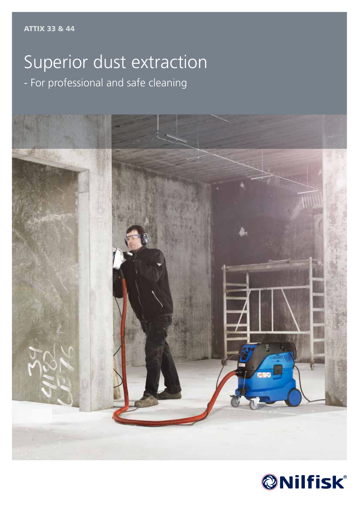### Superior dust extraction - For professional and safe cleaning



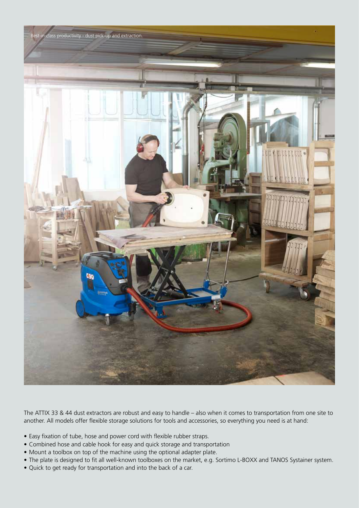

The ATTIX 33 & 44 dust extractors are robust and easy to handle – also when it comes to transportation from one site to another. All models offer flexible storage solutions for tools and accessories, so everything you need is at hand:

- Easy fixation of tube, hose and power cord with flexible rubber straps.
- Combined hose and cable hook for easy and quick storage and transportation
- Mount a toolbox on top of the machine using the optional adapter plate.
- The plate is designed to fit all well-known toolboxes on the market, e.g. Sortimo L-BOXX and TANOS Systainer system.
- Quick to get ready for transportation and into the back of a car.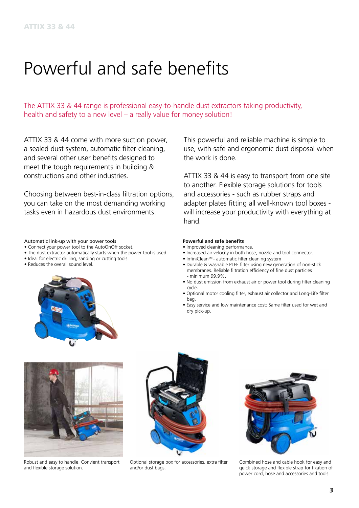### Powerful and safe benefits

The ATTIX 33 & 44 range is professional easy-to-handle dust extractors taking productivity, health and safety to a new level – a really value for money solution!

ATTIX 33 & 44 come with more suction power, a sealed dust system, automatic filter cleaning, and several other user benefits designed to meet the tough requirements in building & constructions and other industries.

Choosing between best-in-class filtration options, you can take on the most demanding working tasks even in hazardous dust environments.

#### Automatic link-up with your power tools

- Connect your power tool to the AutoOnOff socket.
- The dust extractor automatically starts when the power tool is used.
- Ideal for electric drilling, sanding or cutting tools.
- Reduces the overall sound level.



This powerful and reliable machine is simple to use, with safe and ergonomic dust disposal when the work is done.

ATTIX 33 & 44 is easy to transport from one site to another. Flexible storage solutions for tools and accessories - such as rubber straps and adapter plates fitting all well-known tool boxes will increase your productivity with everything at hand.

#### **Powerful and safe benefits**

- Improved cleaning performance.
- Increased air velocity in both hose, nozzle and tool connector.
- InfiniCleanTM automatic filter cleaning system
- Durable & washable PTFE filter using new generation of non-stick membranes. Reliable filtration efficiency of fine dust particles - minimum 99.9%.
- No dust emission from exhaust air or power tool during filter cleaning cycle.
- Optional motor cooling filter, exhaust air collector and Long-Life filter bag.
- Easy service and low maintenance cost: Same filter used for wet and dry pick-up.



Robust and easy to handle. Convient transport and flexible storage solution.



Optional storage box for accessories, extra filter and/or dust bags.



Combined hose and cable hook for easy and quick storage and flexible strap for fixation of power cord, hose and accessories and tools.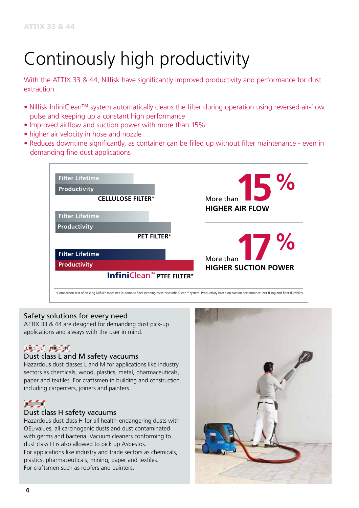# Continously high productivity

With the ATTIX 33 & 44, Nilfisk have significantly improved productivity and performance for dust extraction :

- Nilfisk InfiniClean™ system automatically cleans the filter during operation using reversed air-flow pulse and keeping up a constant high performance
- Improved airflow and suction power with more than 15%
- higher air velocity in hose and nozzle
- Reduces downtime significantly, as container can be filled up without filter maintenance even in demanding fine dust applications



### Safety solutions for every need

ATTIX 33 & 44 are designed for demanding dust pick-up applications and always with the user in mind.

### **LEASE MEAST**

#### Dust class L and M safety vacuums

Hazardous dust classes L and M for applications like industry sectors as chemicals, wood, plastics, metal, pharmaceuticals, paper and textiles. For craftsmen in building and construction, including carpenters, joiners and painters.

### $H = H$

#### Dust class H safety vacuums

Hazardous dust class H for all health-endangering dusts with OEL-values, all carcinogenic dusts and dust contaminated with germs and bacteria. Vacuum cleaners conforming to dust class H is also allowed to pick up Asbestos. For applications like industry and trade sectors as chemicals, plastics, pharmaceuticals, mining, paper and textiles. For craftsmen such as roofers and painters.

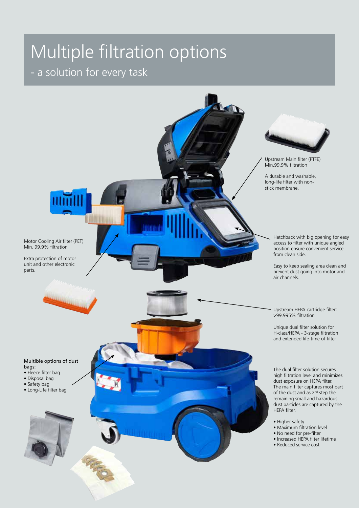# Multiple filtration options

### - a solution for every task

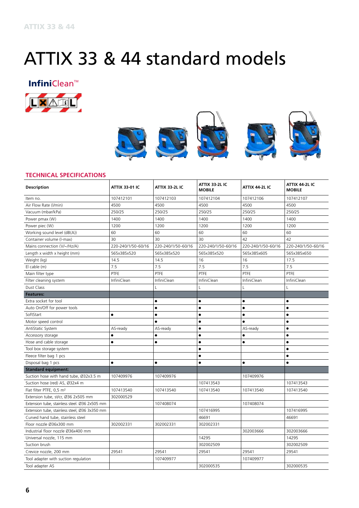### ATTIX 33 & 44 standard models

**Infini**Clean<sup>™</sup>





#### **TECHNICAL SPECIFICATIONS**

| <b>Description</b>                            | <b>ATTIX 33 01 IC</b> | <b>ATTIX 33-2L IC</b> | <b>ATTIX 33-2L IC</b><br><b>MOBILE</b> | ATTIX 44-2L IC     | ATTIX 44-2L IC<br><b>MOBILE</b> |
|-----------------------------------------------|-----------------------|-----------------------|----------------------------------------|--------------------|---------------------------------|
| Item no.                                      | 107412101             | 107412103             | 107412104                              | 107412106          | 107412107                       |
| Air Flow Rate (I/min)                         | 4500                  | 4500                  | 4500                                   | 4500               | 4500                            |
| Vacuum (mbar/kPa)                             | 250/25                | 250/25                | 250/25                                 | 250/25             | 250/25                          |
| Power pmax (W)                                | 1400                  | 1400                  | 1400                                   | 1400               | 1400                            |
| Power piec (W)                                | 1200                  | 1200                  | 1200                                   | 1200               | 1200                            |
| Working sound level (dB(A))                   | 60                    | 60                    | 60                                     | 60                 | 60                              |
| Container volume (I-max)                      | 30                    | 30                    | 30                                     | 42                 | 42                              |
| Mains connection (V/~/Hz/A)                   | 220-240/1/50-60/16    | 220-240/1/50-60/16    | 220-240/1/50-60/16                     | 220-240/1/50-60/16 | 220-240/1/50-60/16              |
| Length x width x height (mm)                  | 565x385x520           | 565x385x520           | 565x385x520                            | 565x385x605        | 565x385x650                     |
| Weight (kg)                                   | 14.5                  | 14.5                  | 16                                     | 16                 | 17.5                            |
| El cable (m)                                  | 7.5                   | 7.5                   | 7.5                                    | 7.5                | 7.5                             |
| Main filter type                              | PTFE                  | PTFE                  | PTFE                                   | PTFE               | PTFE                            |
| Filter cleaning system                        | InfiniClean           | InfiniClean           | InfiniClean                            | InfiniClean        | InfiniClean                     |
| Dust Class                                    |                       | L                     | L                                      |                    | $\mathbf{I}$                    |
| <b>Features:</b>                              |                       |                       |                                        |                    |                                 |
| Extra socket for tool                         |                       | $\bullet$             | $\bullet$                              | ٠                  | $\bullet$                       |
| Auto On/Off for power tools                   |                       | $\bullet$             | $\bullet$                              | $\bullet$          | $\bullet$                       |
| SoftStart                                     | $\bullet$             | $\bullet$             | $\bullet$                              | $\bullet$          | $\bullet$                       |
| Motor speed control                           |                       | $\bullet$             | $\bullet$                              | $\bullet$          | $\bullet$                       |
| AntiStatic System                             | AS-ready              | AS-ready              | $\bullet$                              | AS-ready           | $\bullet$                       |
| Accessory storage                             | $\bullet$             | $\bullet$             | ٠                                      | $\bullet$          | $\bullet$                       |
| Hose and cable storage                        | $\bullet$             | $\bullet$             | $\bullet$                              | ٠                  | $\bullet$                       |
| Tool box storage system                       |                       |                       | $\bullet$                              |                    |                                 |
| Fleece filter bag 1 pcs                       |                       |                       | $\bullet$                              |                    | $\bullet$                       |
| Disposal bag 1 pcs                            | $\bullet$             | $\bullet$             | $\bullet$                              | $\bullet$          | $\bullet$                       |
| <b>Standard equipment:</b>                    |                       |                       |                                        |                    |                                 |
| Suction hose with hand tube, Ø32x3.5 m        | 107409976             | 107409976             |                                        | 107409976          |                                 |
| Suction hose (red) AS, Ø32x4 m                |                       |                       | 107413543                              |                    | 107413543                       |
| Flat filter PTFE, 0,5 m <sup>2</sup>          | 107413540             | 107413540             | 107413540                              | 107413540          | 107413540                       |
| Extension tube, st/cr, Ø36 2x505 mm           | 302000529             |                       |                                        |                    |                                 |
| Extension tube, stainless steel. Ø36 2x505 mm |                       | 107408074             |                                        | 107408074          |                                 |
| Extension tube, stainless steel, Ø36 3x350 mm |                       |                       | 107416995                              |                    | 107416995                       |
| Curved hand tube, stainless steel             |                       |                       | 46691                                  |                    | 46691                           |
| Floor nozzle Ø36x300 mm                       | 302002331             | 302002331             | 302002331                              |                    |                                 |
| Industrial floor nozzle Ø36x400 mm            |                       |                       |                                        | 302003666          | 302003666                       |
| Universal nozzle, 115 mm                      |                       |                       | 14295                                  |                    | 14295                           |
| Suction brush                                 |                       |                       | 302002509                              |                    | 302002509                       |
| Crevice nozzle, 200 mm                        | 29541                 | 29541                 | 29541                                  | 29541              | 29541                           |
| Tool adapter with suction regulation          |                       | 107409977             |                                        | 107409977          |                                 |
| Tool adapter AS                               |                       |                       | 302000535                              |                    | 302000535                       |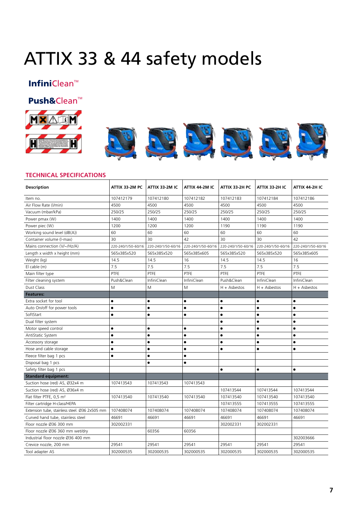## ATTIX 33 & 44 safety models

### InfiniClean<sup>M</sup>

### Push&Clean<sup>™</sup>



# **DES DE DE DE**

#### **TECHNICAL SPECIFICATIONS**

| <b>Description</b>                            | ATTIX 33-2M PC     | ATTIX 33-2M IC     | ATTIX 44-2M IC     | ATTIX 33-2H PC     | ATTIX 33 2H IC     | ATTIX 44-2H IC     |
|-----------------------------------------------|--------------------|--------------------|--------------------|--------------------|--------------------|--------------------|
| Item no.                                      | 107412179          | 107412180          | 107412182          | 107412183          | 107412184          | 107412186          |
| Air Flow Rate (I/min)                         | 4500               | 4500               | 4500               | 4500               | 4500               | 4500               |
| Vacuum (mbar/kPa)                             | 250/25             | 250/25             | 250/25             | 250/25             | 250/25             | 250/25             |
| Power pmax (W)                                | 1400               | 1400               | 1400               | 1400               | 1400               | 1400               |
| Power piec (W)                                | 1200               | 1200               | 1200               | 1190               | 1190               | 1190               |
| Working sound level (dB(A))                   | 60                 | 60                 | 60                 | 60                 | 60                 | 60                 |
| Container volume (I-max)                      | 30                 | 30                 | 42                 | 30                 | 30                 | 42                 |
| Mains connection (V/~/Hz/A)                   | 220-240/1/50-60/16 | 220-240/1/50-60/16 | 220-240/1/50-60/16 | 220-240/1/50-60/16 | 220-240/1/50-60/16 | 220-240/1/50-60/16 |
| Length x width x height (mm)                  | 565x385x520        | 565x385x520        | 565x385x605        | 565x385x520        | 565x385x520        | 565x385x605        |
| Weight (kg)                                   | 14.5               | 14.5               | 16                 | 14.5               | 14.5               | 16                 |
| El cable (m)                                  | 7.5                | 7.5                | 7.5                | 7.5                | 7.5                | 7.5                |
| Main filter type                              | PTFE               | PTFE               | PTFE               | PTFE               | PTFE               | PTFE               |
| Filter cleaning system                        | Push&Clean         | <b>InfiniClean</b> | <b>InfiniClean</b> | Push&Clean         | InfiniClean        | <b>InfiniClean</b> |
| Dust Class                                    | M                  | M                  | M                  | $H +$ Asbestos     | $H +$ Asbestos     | $H +$ Asbestos     |
| <b>Features:</b>                              |                    |                    |                    |                    |                    |                    |
| Extra socket for tool                         | $\bullet$          | $\bullet$          | $\bullet$          | $\bullet$          | $\bullet$          | $\bullet$          |
| Auto On/off for power tools                   | ٠                  | $\bullet$          | Ò                  | $\bullet$          | $\bullet$          | $\bullet$          |
| SoftStart                                     | $\bullet$          | $\bullet$          | $\bullet$          | $\bullet$          | $\bullet$          | $\bullet$          |
| Dual filter system                            |                    |                    |                    | $\bullet$          | $\bullet$          | $\bullet$          |
| Motor speed control                           | $\bullet$          | $\bullet$          | $\bullet$          | $\bullet$          | $\bullet$          | $\bullet$          |
| AntiStatic System                             | $\bullet$          | $\bullet$          | $\bullet$          | $\bullet$          | $\bullet$          | $\bullet$          |
| Accessory storage                             | $\bullet$          | $\bullet$          | $\bullet$          | $\bullet$          | $\bullet$          | $\bullet$          |
| Hose and cable storage                        | $\bullet$          | $\bullet$          | $\bullet$          | $\bullet$          | $\bullet$          | $\bullet$          |
| Fleece filter bag 1 pcs                       | $\bullet$          | $\bullet$          | ė                  |                    |                    |                    |
| Disposal bag 1 pcs                            |                    | $\bullet$          | $\bullet$          |                    |                    |                    |
| Safety filter bag 1 pcs                       |                    |                    |                    | $\bullet$          | $\bullet$          | $\bullet$          |
| <b>Standard equipment:</b>                    |                    |                    |                    |                    |                    |                    |
| Suction hose (red) AS, Ø32x4 m                | 107413543          | 107413543          | 107413543          |                    |                    |                    |
| Suction hose (red) AS, Ø36x4 m                |                    |                    |                    | 107413544          | 107413544          | 107413544          |
| Flat filter PTFE, 0,5 m <sup>2</sup>          | 107413540          | 107413540          | 107413540          | 107413540          | 107413540          | 107413540          |
| Filter cartridge H-class/HEPA                 |                    |                    |                    | 107413555          | 107413555          | 107413555          |
| Extension tube, stainless steel. Ø36 2x505 mm | 107408074          | 107408074          | 107408074          | 107408074          | 107408074          | 107408074          |
| Curved hand tube, stainless steel             | 46691              | 46691              | 46691              | 46691              | 46691              | 46691              |
| Floor nozzle Ø36 300 mm                       | 302002331          |                    |                    | 302002331          | 302002331          |                    |
| Floor nozzle Ø36 360 mm wet/dry               |                    | 60356              | 60356              |                    |                    |                    |
| Industrial floor nozzle Ø36 400 mm            |                    |                    |                    |                    |                    | 302003666          |
| Crevice nozzle, 200 mm                        | 29541              | 29541              | 29541              | 29541              | 29541              | 29541              |
| Tool adapter AS                               | 302000535          | 302000535          | 302000535          | 302000535          | 302000535          | 302000535          |